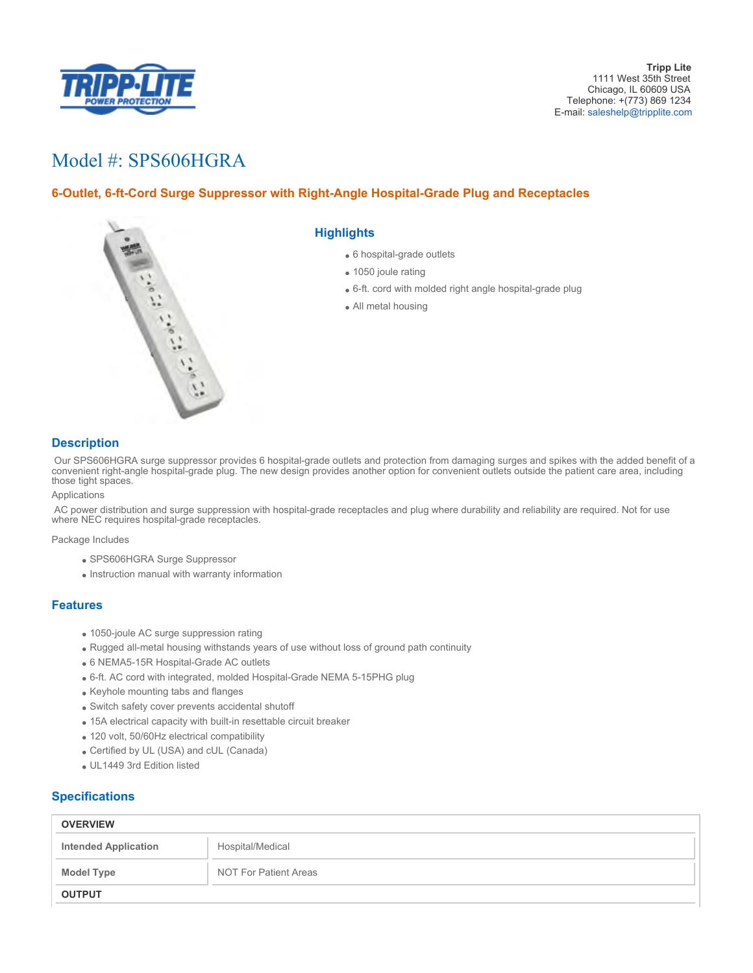

# Model #: SPS606HGRA

## **6-Outlet, 6-ft-Cord Surge Suppressor with Right-Angle Hospital-Grade Plug and Receptacles**



### **Highlights**

- 6 hospital-grade outlets
- 1050 joule rating
- 6-ft. cord with molded right angle hospital-grade plug
- All metal housing

### **Description**

 Our SPS606HGRA surge suppressor provides 6 hospital-grade outlets and protection from damaging surges and spikes with the added benefit of a convenient right-angle hospital-grade plug. The new design provides another option for convenient outlets outside the patient care area, including those tight spaces.

Applications

AC power distribution and surge suppression with hospital-grade receptacles and plug where durability and reliability are required. Not for use where NEC requires hospital-grade receptacles.

Package Includes

- SPS606HGRA Surge Suppressor
- Instruction manual with warranty information

#### **Features**

- 1050-joule AC surge suppression rating
- Rugged all-metal housing withstands years of use without loss of ground path continuity
- 6 NEMA5-15R Hospital-Grade AC outlets
- 6-ft. AC cord with integrated, molded Hospital-Grade NEMA 5-15PHG plug
- Keyhole mounting tabs and flanges
- Switch safety cover prevents accidental shutoff
- 15A electrical capacity with built-in resettable circuit breaker
- 120 volt, 50/60Hz electrical compatibility
- Certified by UL (USA) and cUL (Canada)
- UL1449 3rd Edition listed

### **Specifications**

| <b>OVERVIEW</b>             |                              |
|-----------------------------|------------------------------|
| <b>Intended Application</b> | Hospital/Medical             |
| Model Type                  | <b>NOT For Patient Areas</b> |
| <b>OUTPUT</b>               |                              |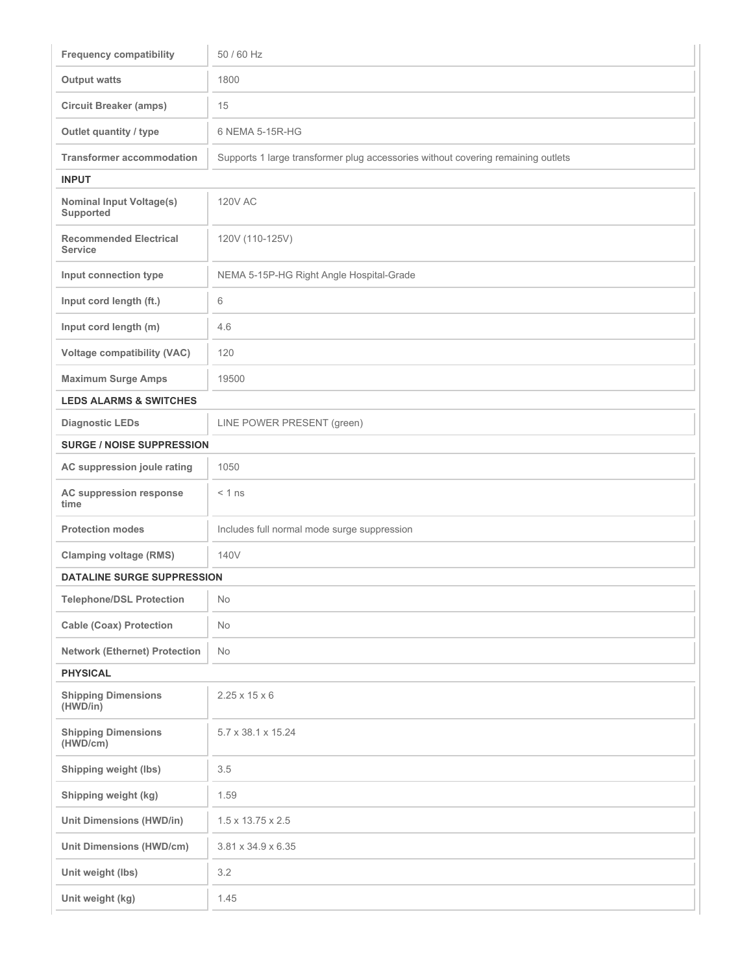| <b>Frequency compatibility</b>                  | 50 / 60 Hz                                                                       |  |
|-------------------------------------------------|----------------------------------------------------------------------------------|--|
| <b>Output watts</b>                             | 1800                                                                             |  |
| <b>Circuit Breaker (amps)</b>                   | 15                                                                               |  |
| Outlet quantity / type                          | 6 NEMA 5-15R-HG                                                                  |  |
| <b>Transformer accommodation</b>                | Supports 1 large transformer plug accessories without covering remaining outlets |  |
| <b>INPUT</b>                                    |                                                                                  |  |
| <b>Nominal Input Voltage(s)</b><br>Supported    | <b>120V AC</b>                                                                   |  |
| <b>Recommended Electrical</b><br><b>Service</b> | 120V (110-125V)                                                                  |  |
| Input connection type                           | NEMA 5-15P-HG Right Angle Hospital-Grade                                         |  |
| Input cord length (ft.)                         | 6                                                                                |  |
| Input cord length (m)                           | 4.6                                                                              |  |
| <b>Voltage compatibility (VAC)</b>              | 120                                                                              |  |
| <b>Maximum Surge Amps</b>                       | 19500                                                                            |  |
| <b>LEDS ALARMS &amp; SWITCHES</b>               |                                                                                  |  |
| <b>Diagnostic LEDs</b>                          | LINE POWER PRESENT (green)                                                       |  |
| <b>SURGE / NOISE SUPPRESSION</b>                |                                                                                  |  |
| AC suppression joule rating                     | 1050                                                                             |  |
| AC suppression response<br>time                 | $< 1$ ns                                                                         |  |
| <b>Protection modes</b>                         | Includes full normal mode surge suppression                                      |  |
| <b>Clamping voltage (RMS)</b>                   | 140V                                                                             |  |
| <b>DATALINE SURGE SUPPRESSION</b>               |                                                                                  |  |
| <b>Telephone/DSL Protection</b>                 | No                                                                               |  |
| <b>Cable (Coax) Protection</b>                  | No                                                                               |  |
| <b>Network (Ethernet) Protection</b>            | No                                                                               |  |
| <b>PHYSICAL</b>                                 |                                                                                  |  |
| <b>Shipping Dimensions</b><br>(HWD/in)          | $2.25 \times 15 \times 6$                                                        |  |
| <b>Shipping Dimensions</b><br>(HWD/cm)          | 5.7 x 38.1 x 15.24                                                               |  |
| Shipping weight (lbs)                           | 3.5                                                                              |  |
| Shipping weight (kg)                            | 1.59                                                                             |  |
| <b>Unit Dimensions (HWD/in)</b>                 | $1.5 \times 13.75 \times 2.5$                                                    |  |
| <b>Unit Dimensions (HWD/cm)</b>                 | 3.81 x 34.9 x 6.35                                                               |  |
| Unit weight (lbs)                               | 3.2                                                                              |  |
| Unit weight (kg)                                | 1.45                                                                             |  |